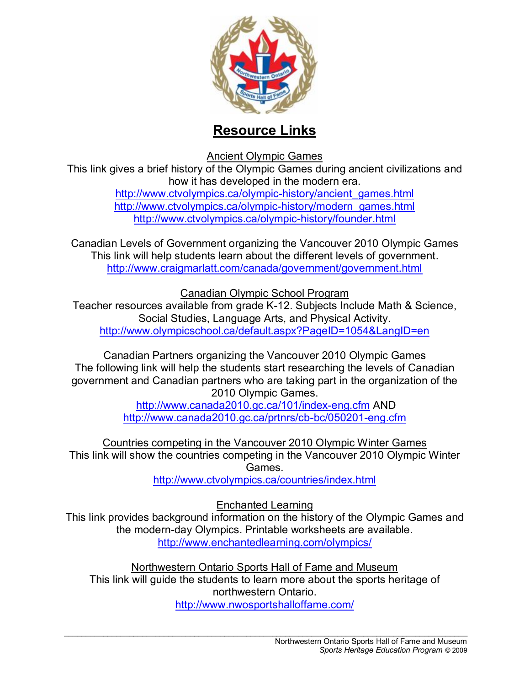

## **Resource Links**

Ancient Olympic Games

This link gives a brief history of the Olympic Games during ancient civilizations and how it has developed in the modern era.

http://www.ctvolympics.ca/olympic-history/ancient\_games.html http://www.ctvolympics.ca/olympic-history/modern\_games.html http://www.ctvolympics.ca/olympic-history/founder.html

Canadian Levels of Government organizing the Vancouver 2010 Olympic Games This link will help students learn about the different levels of government. http://www.craigmarlatt.com/canada/government/government.html

Canadian Olympic School Program

Teacher resources available from grade K-12. Subjects Include Math & Science, Social Studies, Language Arts, and Physical Activity. http://www.olympicschool.ca/default.aspx?PageID=1054&LangID=en

Canadian Partners organizing the Vancouver 2010 Olympic Games The following link will help the students start researching the levels of Canadian government and Canadian partners who are taking part in the organization of the 2010 Olympic Games.

http://www.canada2010.gc.ca/101/index-eng.cfm AND http://www.canada2010.gc.ca/prtnrs/cb-bc/050201-eng.cfm

Countries competing in the Vancouver 2010 Olympic Winter Games This link will show the countries competing in the Vancouver 2010 Olympic Winter Games.

http://www.ctvolympics.ca/countries/index.html

Enchanted Learning

This link provides background information on the history of the Olympic Games and the modern-day Olympics. Printable worksheets are available. http://www.enchantedlearning.com/olympics/

Northwestern Ontario Sports Hall of Fame and Museum This link will guide the students to learn more about the sports heritage of northwestern Ontario. http://www.nwosportshalloffame.com/